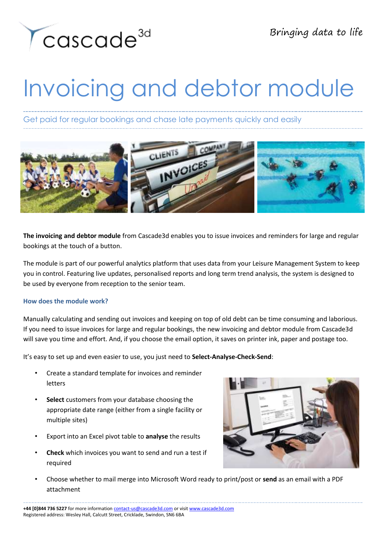

## Invoicing and debtor module

Get paid for regular bookings and chase late payments quickly and easily



**The invoicing and debtor module** from Cascade3d enables you to issue invoices and reminders for large and regular bookings at the touch of a button.

The module is part of our powerful analytics platform that uses data from your Leisure Management System to keep you in control. Featuring live updates, personalised reports and long term trend analysis, the system is designed to be used by everyone from reception to the senior team.

## **How does the module work?**

Manually calculating and sending out invoices and keeping on top of old debt can be time consuming and laborious. If you need to issue invoices for large and regular bookings, the new invoicing and debtor module from Cascade3d will save you time and effort. And, if you choose the email option, it saves on printer ink, paper and postage too.

It's easy to set up and even easier to use, you just need to **Select-Analyse-Check-Send**:

- Create a standard template for invoices and reminder letters
- **Select** customers from your database choosing the appropriate date range (either from a single facility or multiple sites)
- Export into an Excel pivot table to **analyse** the results
- **Check** which invoices you want to send and run a test if required



• Choose whether to mail merge into Microsoft Word ready to print/post or **send** as an email with a PDF attachment

**+44 [0]844 736 5227** for more information [contact-us@cascade3d.com](mailto:contact-us@cascade3d.com) or visit [www.cascade3d.com](http://www.cascade3d.com/) Registered address: Wesley Hall, Calcutt Street, Cricklade, Swindon, SN6 6BA